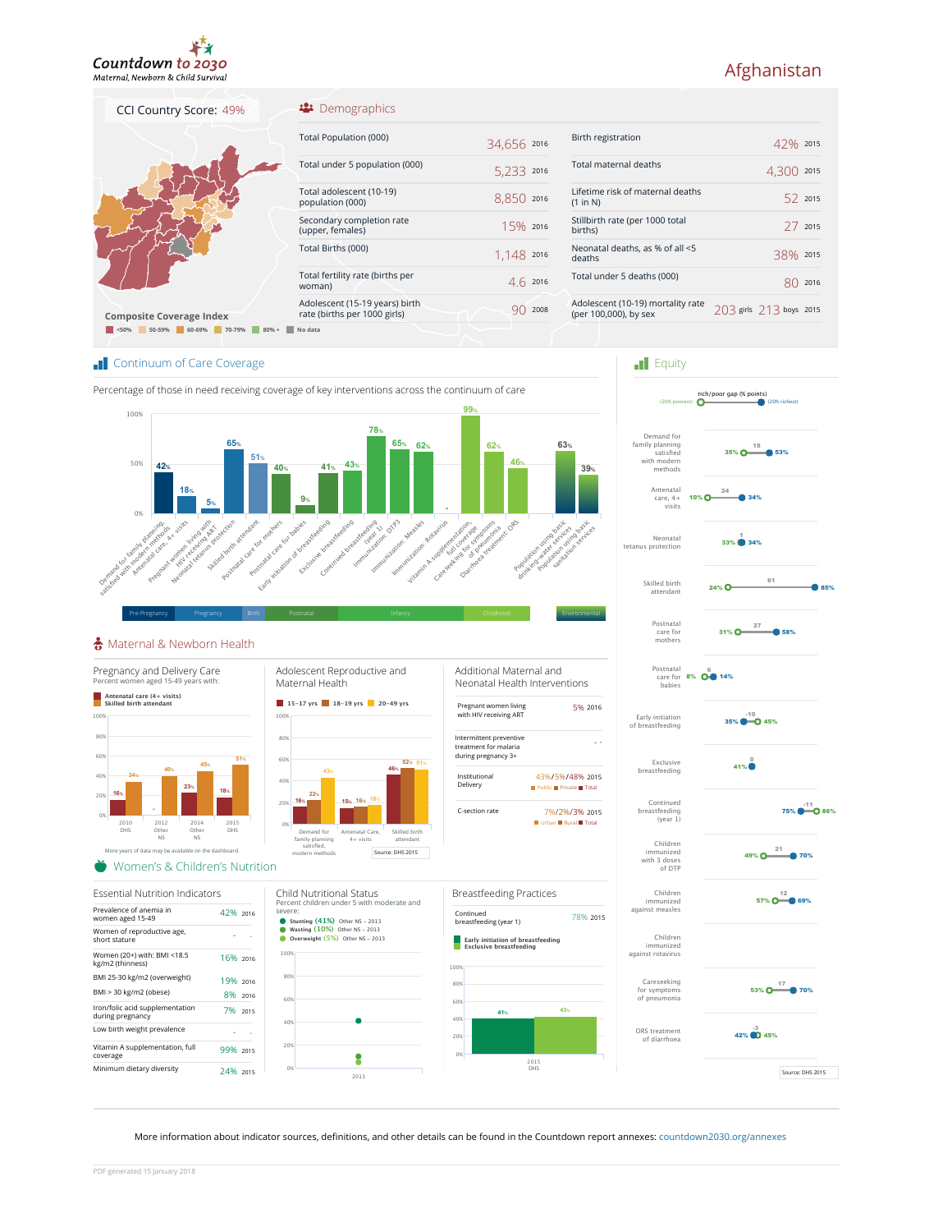

CCI Country Score: 49%

# Afghanistan

## Demographics

| <b>Composite Coverage Index</b>             |  |
|---------------------------------------------|--|
| < 50%<br>50-59% 60-69%<br>70-79%<br>$80% +$ |  |

| Total Population (000)                        | 34,656 2016   |
|-----------------------------------------------|---------------|
| Total under 5 population (000)                | 5.233<br>2016 |
| Total adolescent (10-19)<br>population (000)  | 8,850<br>2016 |
| Secondary completion rate<br>(upper, females) | $15\%$ 2016   |
| Total Births (000)                            | 1,148 2016    |
| Total fertility rate (births per<br>woman)    | 2016          |

Adolescent (15-19 years) birth<br>rate (births per 1000 girls) 90 2008

| Birth registration                                         | $42\%$ 2015             |         |
|------------------------------------------------------------|-------------------------|---------|
| Total maternal deaths                                      | 4.300                   | 2015    |
| Lifetime risk of maternal deaths<br>(1 in N)               |                         | 52 2015 |
| Stillbirth rate (per 1000 total<br>births)                 |                         | 772015  |
| Neonatal deaths, as % of all <5<br>deaths                  | 38% 2015                |         |
| Total under 5 deaths (000)                                 |                         | 2016    |
| Adolescent (10-19) mortality rate<br>(per 100,000), by sex | 203 girls 213 boys 2015 |         |
|                                                            |                         |         |

 $\blacksquare$  Equity

# **Continuum of Care Coverage**



Adolescent (15-19 years) birth

**<50% 50-59% 60-69% 70-79% 80% + No data**

#### Maternal & Newborn Health



Continued breastfeeding (year 1) Exclusive breastfeeding Early initiation of breastfeeding Postnatal<br>
care for **8% 00 14%**<br>
babies Postnatal care for mothers Skilled birth attendant Neonatal tetanus protection Antenatal care, 4+ visits Demand for family planning satisfied with modern methods 75% <sup>-11</sup> 0 86% 0<br><mark>-</mark> 41%  $35\%$   $\bigodot$  45%  $31\%$  0  $\frac{27}{100}$  58% 27 24% **O** 61  $33\%$  34% 10% C 24 35% O  $\overset{18}{\bullet}$  53%

rich/poor gap (% points) (20% poorest) (20% richest)

49%  $O \xrightarrow{21} 70%$ 21

57%  $\mathbf{O} \overline{\mathbf{I}^{\texttt{3}}}$  69%

53% O<sup>17</sup> 70%

 $42\%$  (  $\bullet$  45%

ORS treatment of diarrhoea

Careseeking for symptoms of pneumonia

Children

Children immunized against measles

Children ............<br>nunized with 3 doses of DTP

Source: DHS 2015

More information about indicator sources, definitions, and other details can be found in the Countdown report annexes: countdown2030.org/annexes